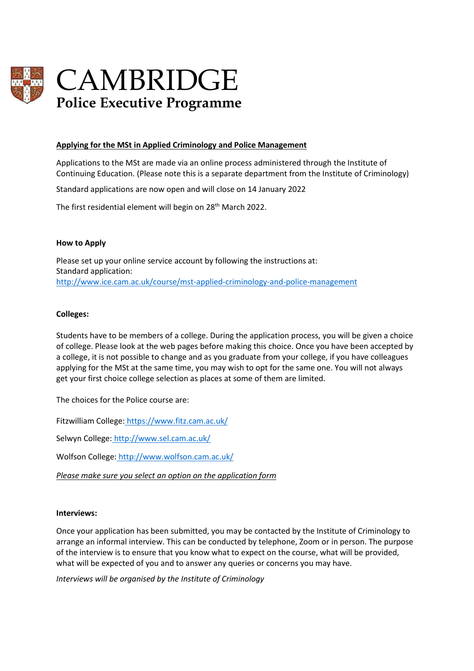

# CAMBRIDGE **Police Executive Programme**

#### **Applying for the MSt in Applied Criminology and Police Management**

Applications to the MSt are made via an online process administered through the Institute of Continuing Education. (Please note this is a separate department from the Institute of Criminology)

Standard applications are now open and will close on 14 January 2022

The first residential element will begin on 28<sup>th</sup> March 2022.

#### **How to Apply**

Please set up your online service account by following the instructions at: Standard application: <http://www.ice.cam.ac.uk/course/mst-applied-criminology-and-police-management>

#### **Colleges:**

Students have to be members of a college. During the application process, you will be given a choice of college. Please look at the web pages before making this choice. Once you have been accepted by a college, it is not possible to change and as you graduate from your college, if you have colleagues applying for the MSt at the same time, you may wish to opt for the same one. You will not always get your first choice college selection as places at some of them are limited.

The choices for the Police course are:

Fitzwilliam College: <https://www.fitz.cam.ac.uk/>

Selwyn College: <http://www.sel.cam.ac.uk/>

Wolfson College: <http://www.wolfson.cam.ac.uk/>

*Please make sure you select an option on the application form*

#### **Interviews:**

Once your application has been submitted, you may be contacted by the Institute of Criminology to arrange an informal interview. This can be conducted by telephone, Zoom or in person. The purpose of the interview is to ensure that you know what to expect on the course, what will be provided, what will be expected of you and to answer any queries or concerns you may have.

*Interviews will be organised by the Institute of Criminology*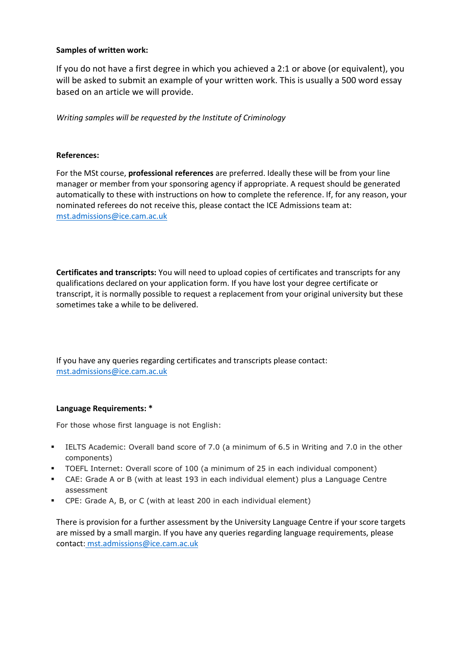#### **Samples of written work:**

If you do not have a first degree in which you achieved a 2:1 or above (or equivalent), you will be asked to submit an example of your written work. This is usually a 500 word essay based on an article we will provide.

*Writing samples will be requested by the Institute of Criminology*

## **References:**

For the MSt course, **professional references** are preferred. Ideally these will be from your line manager or member from your sponsoring agency if appropriate. A request should be generated automatically to these with instructions on how to complete the reference. If, for any reason, your nominated referees do not receive this, please contact the ICE Admissions team at: [mst.admissions@ice.cam.ac.uk](mailto:mst.admissions@ice.cam.ac.uk)

**Certificates and transcripts:** You will need to upload copies of certificates and transcripts for any qualifications declared on your application form. If you have lost your degree certificate or transcript, it is normally possible to request a replacement from your original university but these sometimes take a while to be delivered.

If you have any queries regarding certificates and transcripts please contact: [mst.admissions@ice.cam.ac.uk](mailto:mst.admissions@ice.cam.ac.uk)

#### **Language Requirements: \***

For those whose first language is not English:

- **ELTS Academic: Overall band score of 7.0 (a minimum of 6.5 in Writing and 7.0 in the other** components)
- TOEFL Internet: Overall score of 100 (a minimum of 25 in each individual component)
- CAE: Grade A or B (with at least 193 in each individual element) plus a Language Centre assessment
- CPE: Grade A, B, or C (with at least 200 in each individual element)

There is provision for a further assessment by the University Language Centre if your score targets are missed by a small margin. If you have any queries regarding language requirements, please contact: [mst.admissions@ice.cam.ac.uk](mailto:mst.admissions@ice.cam.ac.uk)